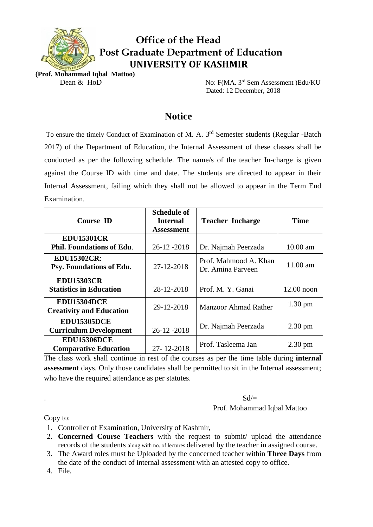

# **Office of the Head Post Graduate Department of Education UNIVERSITY OF KASHMIR**

**(Prof. Mohammad Iqbal Mattoo)** 

Dean & HoD No: F(MA. 3<sup>rd</sup> Sem Assessment )Edu/KU Dated: 12 December, 2018

## **Notice**

To ensure the timely Conduct of Examination of M. A. 3<sup>rd</sup> Semester students (Regular -Batch 2017) of the Department of Education, the Internal Assessment of these classes shall be conducted as per the following schedule. The name/s of the teacher In-charge is given against the Course ID with time and date. The students are directed to appear in their Internal Assessment, failing which they shall not be allowed to appear in the Term End Examination.

| <b>Course ID</b>                                      | <b>Schedule of</b><br><b>Internal</b><br><b>Assessment</b> | <b>Teacher Incharge</b>                    | <b>Time</b>       |
|-------------------------------------------------------|------------------------------------------------------------|--------------------------------------------|-------------------|
|                                                       |                                                            |                                            |                   |
| <b>EDU15301CR</b><br><b>Phil. Foundations of Edu.</b> | $26 - 12 - 2018$                                           | Dr. Najmah Peerzada                        | $10.00$ am        |
| <b>EDU15302CR:</b><br>Psy. Foundations of Edu.        | 27-12-2018                                                 | Prof. Mahmood A. Khan<br>Dr. Amina Parveen | 11.00 am          |
| <b>EDU15303CR</b>                                     |                                                            |                                            |                   |
| <b>Statistics in Education</b>                        | 28-12-2018                                                 | Prof. M. Y. Ganai                          | $12.00$ noon      |
| <b>EDU15304DCE</b><br><b>Creativity and Education</b> | 29-12-2018                                                 | <b>Manzoor Ahmad Rather</b>                | $1.30 \text{ pm}$ |
| <b>EDU15305DCE</b><br><b>Curriculum Development</b>   | 26-12-2018                                                 | Dr. Najmah Peerzada                        | $2.30 \text{ pm}$ |
| <b>EDU15306DCE</b><br><b>Comparative Education</b>    | 27-12-2018                                                 | Prof. Tasleema Jan                         | $2.30 \text{ pm}$ |

The class work shall continue in rest of the courses as per the time table during **internal assessment** days. Only those candidates shall be permitted to sit in the Internal assessment; who have the required attendance as per statutes.

#### . Solvey and  $Sd$  is the set of  $Sd$  is the set of  $Sd$  is the set of  $Sd$  is the set of  $Sd$ Prof. Mohammad Iqbal Mattoo

Copy to:

- 1. Controller of Examination, University of Kashmir,
- 2. **Concerned Course Teachers** with the request to submit/ upload the attendance records of the students along with no. of lectures delivered by the teacher in assigned course.
- 3. The Award roles must be Uploaded by the concerned teacher within **Three Days** from the date of the conduct of internal assessment with an attested copy to office.
- 4. File.